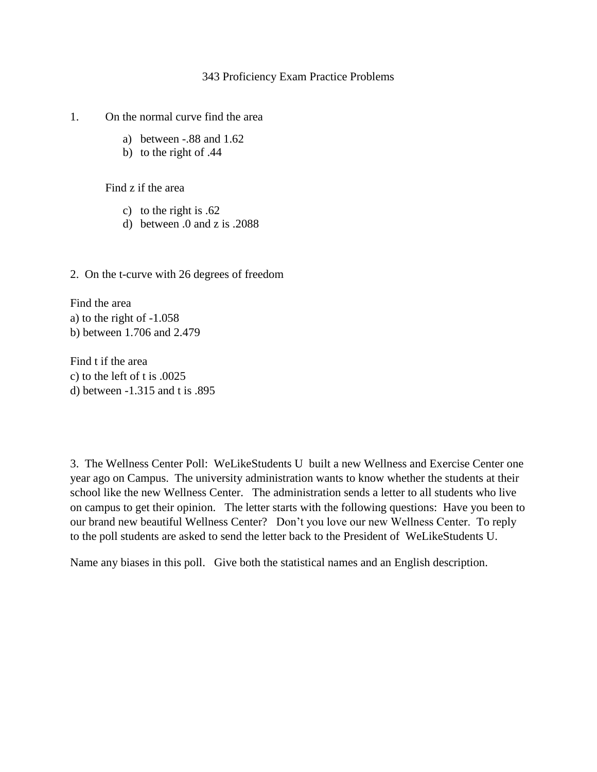## 343 Proficiency Exam Practice Problems

## 1. On the normal curve find the area

- a) between -.88 and 1.62
- b) to the right of .44

Find z if the area

- c) to the right is .62
- d) between .0 and z is .2088
- 2. On the t-curve with 26 degrees of freedom

Find the area a) to the right of -1.058 b) between 1.706 and 2.479

Find t if the area c) to the left of t is .0025 d) between -1.315 and t is .895

3. The Wellness Center Poll: WeLikeStudents U built a new Wellness and Exercise Center one year ago on Campus. The university administration wants to know whether the students at their school like the new Wellness Center. The administration sends a letter to all students who live on campus to get their opinion. The letter starts with the following questions: Have you been to our brand new beautiful Wellness Center? Don't you love our new Wellness Center. To reply to the poll students are asked to send the letter back to the President of WeLikeStudents U.

Name any biases in this poll. Give both the statistical names and an English description.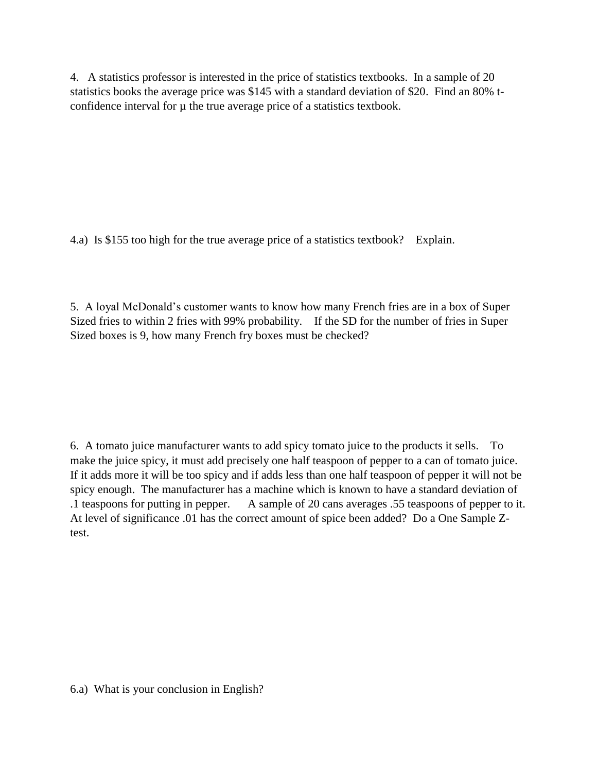4. A statistics professor is interested in the price of statistics textbooks. In a sample of 20 statistics books the average price was \$145 with a standard deviation of \$20. Find an 80% tconfidence interval for  $\mu$  the true average price of a statistics textbook.

4.a) Is \$155 too high for the true average price of a statistics textbook? Explain.

5. A loyal McDonald's customer wants to know how many French fries are in a box of Super Sized fries to within 2 fries with 99% probability. If the SD for the number of fries in Super Sized boxes is 9, how many French fry boxes must be checked?

6. A tomato juice manufacturer wants to add spicy tomato juice to the products it sells. To make the juice spicy, it must add precisely one half teaspoon of pepper to a can of tomato juice. If it adds more it will be too spicy and if adds less than one half teaspoon of pepper it will not be spicy enough. The manufacturer has a machine which is known to have a standard deviation of .1 teaspoons for putting in pepper. A sample of 20 cans averages .55 teaspoons of pepper to it. At level of significance .01 has the correct amount of spice been added? Do a One Sample Ztest.

6.a) What is your conclusion in English?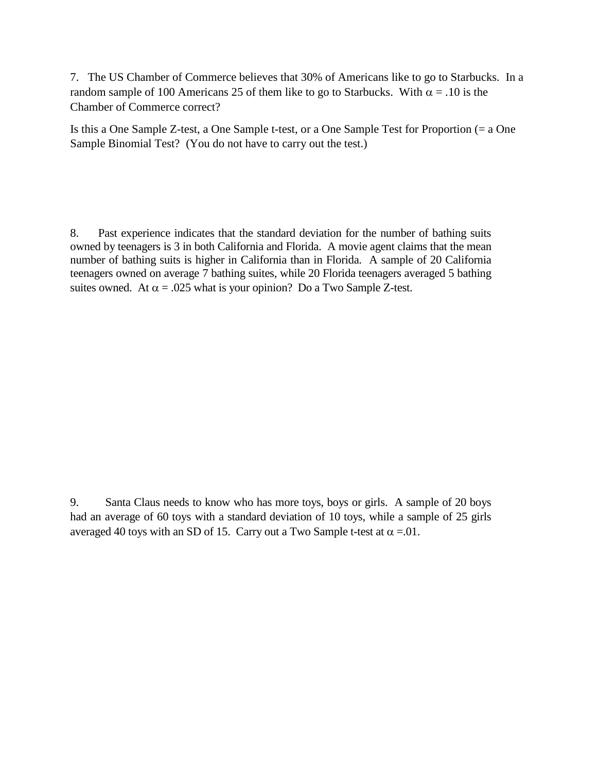7. The US Chamber of Commerce believes that 30% of Americans like to go to Starbucks. In a random sample of 100 Americans 25 of them like to go to Starbucks. With  $\alpha = .10$  is the Chamber of Commerce correct?

Is this a One Sample Z-test, a One Sample t-test, or a One Sample Test for Proportion (= a One Sample Binomial Test? (You do not have to carry out the test.)

8. Past experience indicates that the standard deviation for the number of bathing suits owned by teenagers is 3 in both California and Florida. A movie agent claims that the mean number of bathing suits is higher in California than in Florida. A sample of 20 California teenagers owned on average 7 bathing suites, while 20 Florida teenagers averaged 5 bathing suites owned. At  $\alpha$  = .025 what is your opinion? Do a Two Sample Z-test.

9. Santa Claus needs to know who has more toys, boys or girls. A sample of 20 boys had an average of 60 toys with a standard deviation of 10 toys, while a sample of 25 girls averaged 40 toys with an SD of 15. Carry out a Two Sample t-test at  $\alpha = 01$ .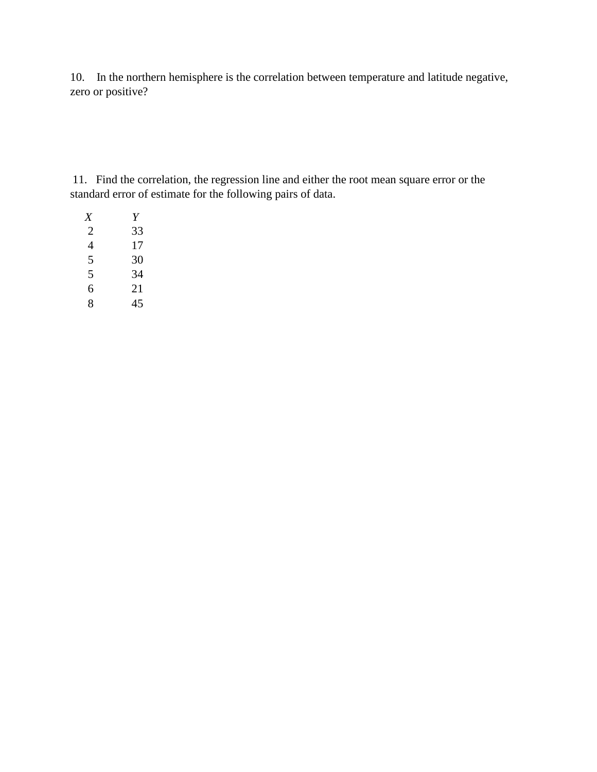10. In the northern hemisphere is the correlation between temperature and latitude negative, zero or positive?

11. Find the correlation, the regression line and either the root mean square error or the standard error of estimate for the following pairs of data.

| X | Y  |
|---|----|
| 2 | 33 |
| 4 | 17 |
| 5 | 30 |
| 5 | 34 |
| 6 | 21 |
| 8 | 45 |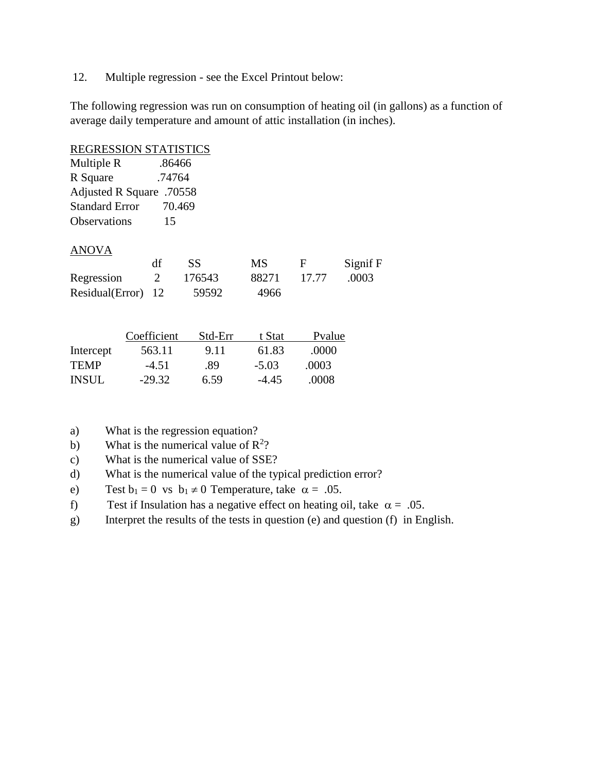12. Multiple regression - see the Excel Printout below:

The following regression was run on consumption of heating oil (in gallons) as a function of average daily temperature and amount of attic installation (in inches).

| <b>REGRESSION STATISTICS</b> |             |         |           |        |          |
|------------------------------|-------------|---------|-----------|--------|----------|
| Multiple R                   | .86466      |         |           |        |          |
| R Square                     | .74764      |         |           |        |          |
| Adjusted R Square .70558     |             |         |           |        |          |
| <b>Standard Error</b>        | 70.469      |         |           |        |          |
| <b>Observations</b>          | 15          |         |           |        |          |
| <b>ANOVA</b>                 |             |         |           |        |          |
|                              | df          | SS      | <b>MS</b> | F      | Signif F |
| Regression                   | 2           | 176543  | 88271     | 17.77  | .0003    |
| Residual(Error)              | 12          | 59592   | 4966      |        |          |
|                              |             |         |           |        |          |
|                              | Coefficient | Std-Err | t Stat    | Pvalue |          |
| Intercept                    | 563.11      | 9.11    | 61.83     | .0000  |          |

- a) What is the regression equation?
- b) What is the numerical value of  $\mathbb{R}^2$ ?
- c) What is the numerical value of SSE?
- d) What is the numerical value of the typical prediction error?
- e) Test  $b_1 = 0$  vs  $b_1 \neq 0$  Temperature, take  $\alpha = .05$ .

TEMP -4.51 .89 -5.03 .0003 INSUL -29.32 6.59 -4.45 .0008

- f) Test if Insulation has a negative effect on heating oil, take  $\alpha = .05$ .
- g) Interpret the results of the tests in question (e) and question (f) in English.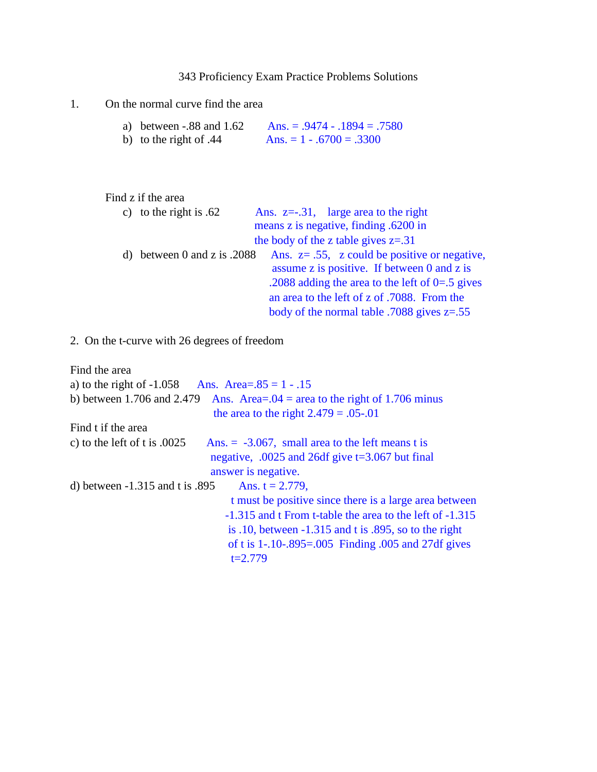343 Proficiency Exam Practice Problems Solutions

## 1. On the normal curve find the area

| a) between $-.88$ and $1.62$ | Ans. = $.9474 - .1894 = .7580$ |
|------------------------------|--------------------------------|
| b) to the right of .44       | Ans. $= 1 - .6700 = .3300$     |

| Find z if the area            |                                                    |
|-------------------------------|----------------------------------------------------|
| c) to the right is $.62$      | Ans. $z=-.31$ , large area to the right            |
|                               | means z is negative, finding .6200 in              |
|                               | the body of the z table gives $z = .31$            |
| d) between 0 and z is $.2088$ | Ans. $z = .55$ , z could be positive or negative,  |
|                               | assume z is positive. If between 0 and z is        |
|                               | .2088 adding the area to the left of $0=0.5$ gives |
|                               | an area to the left of z of .7088. From the        |
|                               | body of the normal table .7088 gives $z = .55$     |

2. On the t-curve with 26 degrees of freedom

| Find the area                                                                                                                |
|------------------------------------------------------------------------------------------------------------------------------|
| a) to the right of $-1.058$<br>Ans. Area= $.85 = 1 - .15$                                                                    |
| b) between 1.706 and 2.479<br>Ans. Area= $.04$ = area to the right of 1.706 minus<br>the area to the right $2.479 = .05-.01$ |
| Find t if the area                                                                                                           |
| c) to the left of t is $.0025$<br>Ans. $= -3.067$ , small area to the left means t is                                        |
| negative, .0025 and 26df give $t=3.067$ but final                                                                            |
| answer is negative.                                                                                                          |
| d) between $-1.315$ and t is .895<br>Ans. $t = 2.779$ ,                                                                      |
| t must be positive since there is a large area between                                                                       |
| -1.315 and t From t-table the area to the left of -1.315                                                                     |
| is .10, between $-1.315$ and t is .895, so to the right                                                                      |
| of t is $1 - .10 - .895 = .005$ Finding 0.05 and 27df gives                                                                  |
| $t=2.779$                                                                                                                    |
|                                                                                                                              |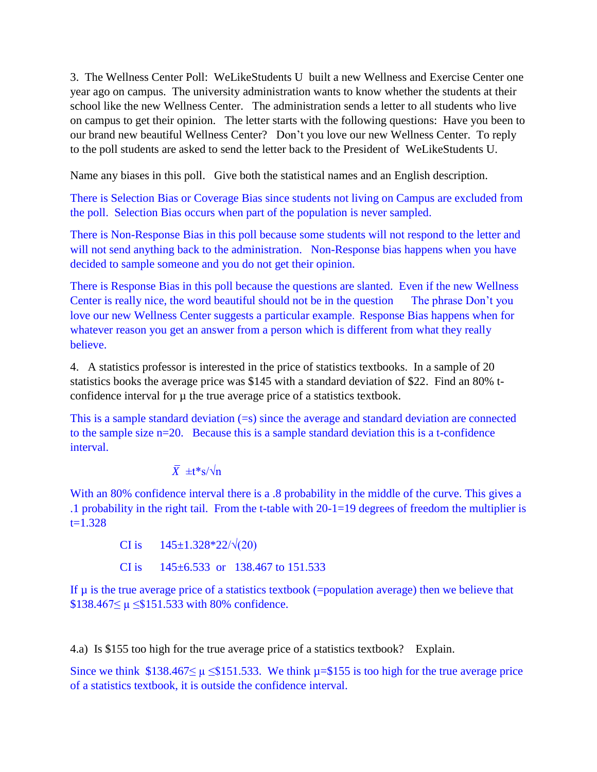3. The Wellness Center Poll: WeLikeStudents U built a new Wellness and Exercise Center one year ago on campus. The university administration wants to know whether the students at their school like the new Wellness Center. The administration sends a letter to all students who live on campus to get their opinion. The letter starts with the following questions: Have you been to our brand new beautiful Wellness Center? Don't you love our new Wellness Center. To reply to the poll students are asked to send the letter back to the President of WeLikeStudents U.

Name any biases in this poll. Give both the statistical names and an English description.

There is Selection Bias or Coverage Bias since students not living on Campus are excluded from the poll. Selection Bias occurs when part of the population is never sampled.

There is Non-Response Bias in this poll because some students will not respond to the letter and will not send anything back to the administration. Non-Response bias happens when you have decided to sample someone and you do not get their opinion.

There is Response Bias in this poll because the questions are slanted. Even if the new Wellness Center is really nice, the word beautiful should not be in the question The phrase Don't you love our new Wellness Center suggests a particular example. Response Bias happens when for whatever reason you get an answer from a person which is different from what they really believe.

4. A statistics professor is interested in the price of statistics textbooks. In a sample of 20 statistics books the average price was \$145 with a standard deviation of \$22. Find an 80% tconfidence interval for  $\mu$  the true average price of a statistics textbook.

This is a sample standard deviation (=s) since the average and standard deviation are connected to the sample size n=20. Because this is a sample standard deviation this is a t-confidence interval.

$$
\overline{X} \pm t \cdot s / \sqrt{n}
$$

With an 80% confidence interval there is a .8 probability in the middle of the curve. This gives a .1 probability in the right tail. From the t-table with 20-1=19 degrees of freedom the multiplier is  $t=1.328$ 

> CI is  $145\pm1.328*22/\sqrt{(20)}$ CI is  $145\pm6.533$  or  $138.467$  to  $151.533$

If  $\mu$  is the true average price of a statistics textbook (=population average) then we believe that \$138.467≤ µ ≤\$151.533 with 80% confidence.

4.a) Is \$155 too high for the true average price of a statistics textbook? Explain.

Since we think  $$138.467 \leq \mu \leq $151.533$ . We think  $\mu = $155$  is too high for the true average price of a statistics textbook, it is outside the confidence interval.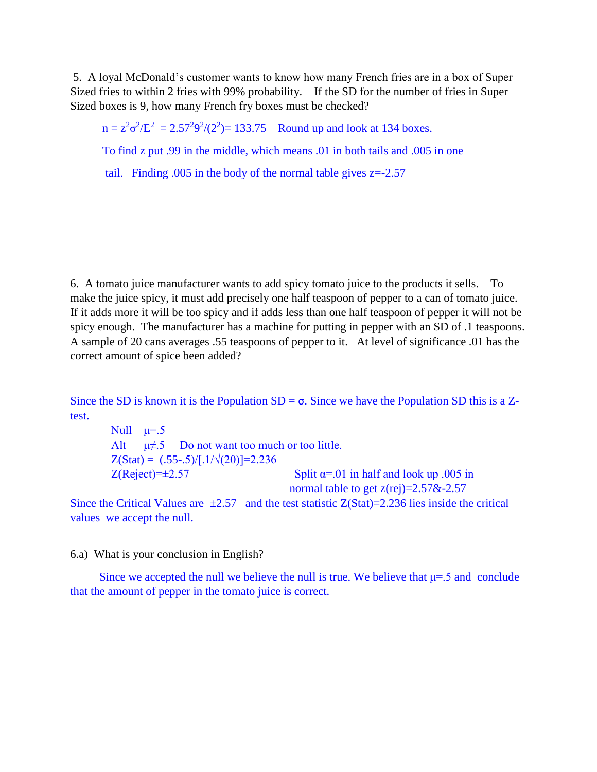5. A loyal McDonald's customer wants to know how many French fries are in a box of Super Sized fries to within 2 fries with 99% probability. If the SD for the number of fries in Super Sized boxes is 9, how many French fry boxes must be checked?

 $n = z^2 \sigma^2/E^2 = 2.57^2 9^2/(2^2) = 133.75$  Round up and look at 134 boxes.

To find z put .99 in the middle, which means .01 in both tails and .005 in one

tail. Finding  $.005$  in the body of the normal table gives  $z = -2.57$ 

6. A tomato juice manufacturer wants to add spicy tomato juice to the products it sells. To make the juice spicy, it must add precisely one half teaspoon of pepper to a can of tomato juice. If it adds more it will be too spicy and if adds less than one half teaspoon of pepper it will not be spicy enough. The manufacturer has a machine for putting in pepper with an SD of .1 teaspoons. A sample of 20 cans averages .55 teaspoons of pepper to it. At level of significance .01 has the correct amount of spice been added?

Since the SD is known it is the Population  $SD = \sigma$ . Since we have the Population SD this is a Ztest.

Null  $\mu = .5$ Alt  $\mu \neq 5$  Do not want too much or too little.  $Z(Stat) = (.55-.5)/[.1/\sqrt{(20)}] = 2.236$  $Z(Reject)=\pm 2.57$  Split  $\alpha=01$  in half and look up .005 in normal table to get  $z(rej)=2.57&2.57$ 

Since the Critical Values are  $\pm 2.57$  and the test statistic Z(Stat)=2.236 lies inside the critical values we accept the null.

6.a) What is your conclusion in English?

Since we accepted the null we believe the null is true. We believe that  $\mu$ =.5 and conclude that the amount of pepper in the tomato juice is correct.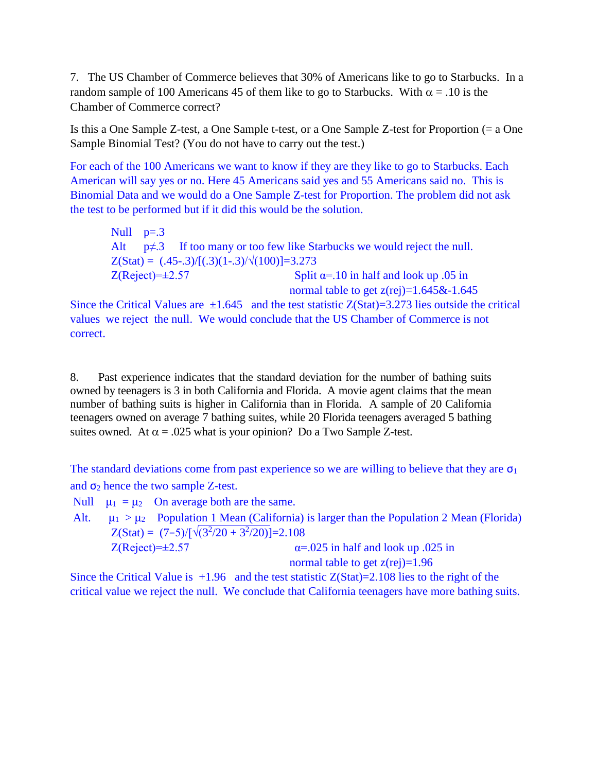7. The US Chamber of Commerce believes that 30% of Americans like to go to Starbucks. In a random sample of 100 Americans 45 of them like to go to Starbucks. With  $\alpha = .10$  is the Chamber of Commerce correct?

Is this a One Sample Z-test, a One Sample t-test, or a One Sample Z-test for Proportion (= a One Sample Binomial Test? (You do not have to carry out the test.)

For each of the 100 Americans we want to know if they are they like to go to Starbucks. Each American will say yes or no. Here 45 Americans said yes and 55 Americans said no. This is Binomial Data and we would do a One Sample Z-test for Proportion. The problem did not ask the test to be performed but if it did this would be the solution.

Null  $p=.3$ Alt  $p \neq 3$  If too many or too few like Starbucks we would reject the null.  $Z(Stat) = (.45-0.3)/[(0.3)(1-.3)/\sqrt{(100)}]=3.273$  $Z(Reject)=\pm 2.57$  Split  $\alpha$ =.10 in half and look up .05 in normal table to get  $z(rej)=1.645\&-1.645$ 

Since the Critical Values are  $\pm 1.645$  and the test statistic Z(Stat)=3.273 lies outside the critical values we reject the null. We would conclude that the US Chamber of Commerce is not correct.

8. Past experience indicates that the standard deviation for the number of bathing suits owned by teenagers is 3 in both California and Florida. A movie agent claims that the mean number of bathing suits is higher in California than in Florida. A sample of 20 California teenagers owned on average 7 bathing suites, while 20 Florida teenagers averaged 5 bathing suites owned. At  $\alpha = .025$  what is your opinion? Do a Two Sample Z-test.

The standard deviations come from past experience so we are willing to believe that they are  $\sigma_1$ and  $\sigma_2$  hence the two sample Z-test.

Null  $\mu_1 = \mu_2$  On average both are the same.

Alt.  $\mu_1 > \mu_2$  Population 1 Mean (California) is larger than the Population 2 Mean (Florida)  $Z(Stat) = (7-5)/[\sqrt{(3^2/20 + 3^2/20)}] = 2.108$  $Z(Reject)=\pm 2.57$   $\alpha = .025$  in half and look up .025 in normal table to get  $z(rej)=1.96$ 

Since the Critical Value is  $+1.96$  and the test statistic  $Z(Stat)=2.108$  lies to the right of the critical value we reject the null. We conclude that California teenagers have more bathing suits.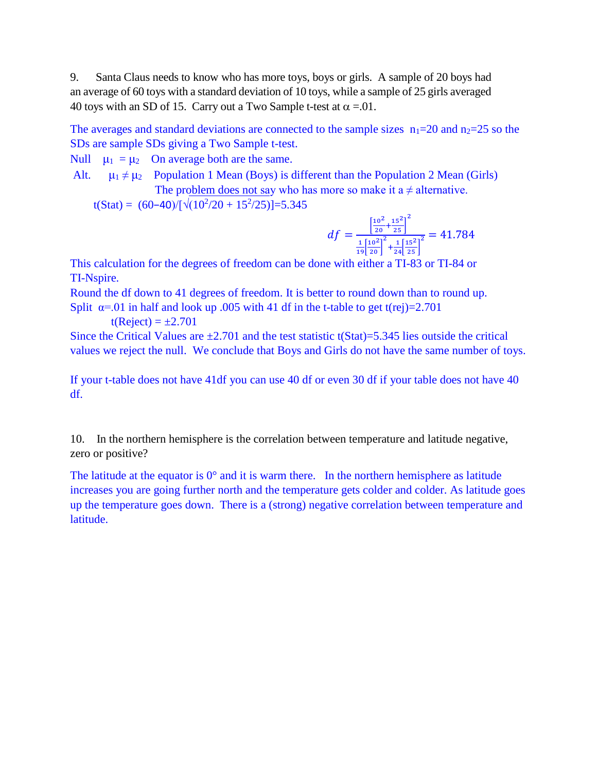9. Santa Claus needs to know who has more toys, boys or girls. A sample of 20 boys had an average of 60 toys with a standard deviation of 10 toys, while a sample of 25 girls averaged 40 toys with an SD of 15. Carry out a Two Sample t-test at  $\alpha = 01$ .

The averages and standard deviations are connected to the sample sizes  $n_1=20$  and  $n_2=25$  so the SDs are sample SDs giving a Two Sample t-test.

Null  $\mu_1 = \mu_2$  On average both are the same.

Alt.  $\mu_1 \neq \mu_2$  Population 1 Mean (Boys) is different than the Population 2 Mean (Girls) The problem does not say who has more so make it a  $\neq$  alternative.

t(Stat) =  $(60-40)/[\sqrt{(10^2/20 + 15^2/25)}]$ =5.345

$$
df = \frac{\left[\frac{10^2}{20} + \frac{15^2}{25}\right]^2}{\frac{1}{19}\left[\frac{10^2}{20}\right]^2 + \frac{1}{24}\left[\frac{15^2}{25}\right]^2} = 41.784
$$

This calculation for the degrees of freedom can be done with either a TI-83 or TI-84 or TI-Nspire.

Round the df down to 41 degrees of freedom. It is better to round down than to round up. Split  $\alpha$ =.01 in half and look up .005 with 41 df in the t-table to get t(rej)=2.701

$$
t(Reject) = \pm 2.701
$$

Since the Critical Values are  $\pm 2.701$  and the test statistic t(Stat)=5.345 lies outside the critical values we reject the null. We conclude that Boys and Girls do not have the same number of toys.

If your t-table does not have 41df you can use 40 df or even 30 df if your table does not have 40 df.

10. In the northern hemisphere is the correlation between temperature and latitude negative, zero or positive?

The latitude at the equator is  $0^{\circ}$  and it is warm there. In the northern hemisphere as latitude increases you are going further north and the temperature gets colder and colder. As latitude goes up the temperature goes down. There is a (strong) negative correlation between temperature and latitude.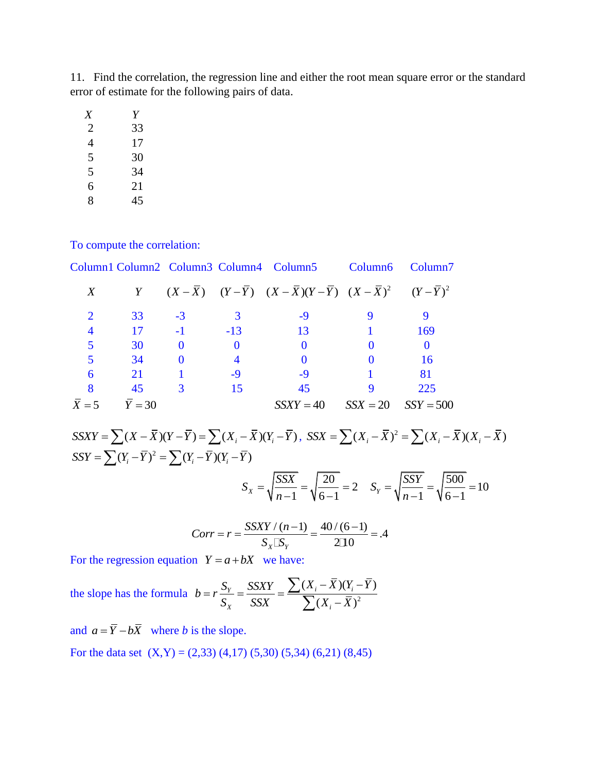11. Find the correlation, the regression line and either the root mean square error or the standard error of estimate for the following pairs of data.

| X | Y  |
|---|----|
| 2 | 33 |
| 4 | 17 |
| 5 | 30 |
| 5 | 34 |
| 6 | 21 |
| 8 | 45 |

To compute the correlation:

|       |          |          |                | Column1 Column2 Column3 Column4 Column5 Column6                                                    |            | Column <sub>7</sub> |
|-------|----------|----------|----------------|----------------------------------------------------------------------------------------------------|------------|---------------------|
| X     |          |          |                | Y $(X - \bar{X})$ $(Y - \bar{Y})$ $(X - \bar{X})(Y - \bar{Y})$ $(X - \bar{X})^2$ $(Y - \bar{Y})^2$ |            |                     |
|       | 33       | $-3$     | 3              | -9                                                                                                 | 9          |                     |
|       | 17       | $-1$     | $-13$          | 13                                                                                                 |            | 169                 |
|       | 30       | $\Omega$ | $\mathbf{0}$   | $\Omega$                                                                                           |            | $\theta$            |
|       | 34       | $\Omega$ | $\overline{4}$ | 0                                                                                                  |            | 16                  |
| 6     | 21       |          | $-9$           | $-9$                                                                                               |            | 81                  |
|       | 45       | 3        | 15             | 45                                                                                                 |            | 225                 |
| $X=5$ | $Y = 30$ |          |                | $SSXY = 40$                                                                                        | $SSX = 20$ | $SSY = 500$         |

 $\overline{X} = 5$   $\overline{Y} = 30$   $SSXY = 40$   $SSX = 20$   $SSY = 500$ <br>  $SSXY = \sum (X - \overline{X})(Y - \overline{Y}) = \sum (X_i - \overline{X})(Y_i - \overline{Y})$ ,  $SSX = \sum (X_i - \overline{X})^2 = \sum (X_i - \overline{X})^2$ 2 (*SSXY* = 40 *SSX* = 20 *SSY* = 500<br>  $(\bar{X})(Y - \bar{Y}) = \sum (X_i - \bar{X})(Y_i - \bar{Y})$ ,  $SSX = \sum (X_i - \bar{X})^2 = \sum (X_i - \bar{X})(X_i - \bar{X})^2$ <br>  $(\bar{X})(Y - \bar{Y}) = \sum (X_i - \bar{X})(Y_i - \bar{Y})^2$  $SSXY = \sum (X - \bar{X})(Y - \bar{Y}) = \sum (X_i - \bar{X})^i$ <br>  $SSY = \sum (Y_i - \bar{Y})^2 = \sum (Y_i - \bar{Y})(Y_i - \bar{Y})$  $\frac{20}{2}$  = 2  $S_X = \sqrt{\frac{SSX}{1}} = \sqrt{\frac{20}{5 \cdot 1}} = 2$  $\frac{500}{1}$  = 10  $=\sqrt{\frac{SSY}{1}} = \sqrt{\frac{500}{5}} = 10$ 

$$
S_X = \sqrt{\frac{SSX}{n-1}} = \sqrt{\frac{20}{6-1}} = 2 \quad S_Y = \sqrt{\frac{SSY}{n-1}} = \sqrt{\frac{500}{6-1}} = \frac{SSXY}{(n-1)} = \frac{40}{(6-1)} = 4
$$

$$
Corr = r = \frac{SSXY/(n-1)}{S_X \square S_Y} = \frac{40/(6-1)}{2\square 0} = .4
$$

For the regression equation  $Y = a + bX$  we have:

the slope has the formula  $b = r \frac{v_y}{g} = \frac{332 \lambda T}{g g} = \frac{\sum (rT_i - rT)(r_i)}{\sum (y - \overline{y})^2}$  $(X_i - \overline{X})(Y_i - \overline{Y})$  $\frac{Y_Y}{X} = \frac{SSXY}{SSX} = \frac{\sum (X_i - \overline{X})(Y_i)}{\sum (X_i - \overline{X})}$  $\sum_{X}$  *SSX i*  $\sum_{i}$  (*X<sub>i</sub>*  $S_Y = \frac{SSXY}{X} - \sum (X_i - \overline{X})(Y_i - \overline{Y})$  $b = r$  $\frac{S_Y}{S_X} = \frac{SSXY}{SSX} = \frac{\sum (X_i - X)(Y_i - \overline{X})}{\sum (X_i - \overline{X})}$  $-\overline{X}$ ) $(Y_i - \overline{Y})$  $= r \frac{S_Y}{S_X} = \frac{SSXY}{SSX} = \frac{\sum (X_i - \overline{X})}{\sum (X_i - \overline{X})}$  $\sum$  $\overline{\sum}$ 

and  $a = \overline{Y} - b\overline{X}$  where *b* is the slope.

For the data set  $(X,Y) = (2,33) (4,17) (5,30) (5,34) (6,21) (8,45)$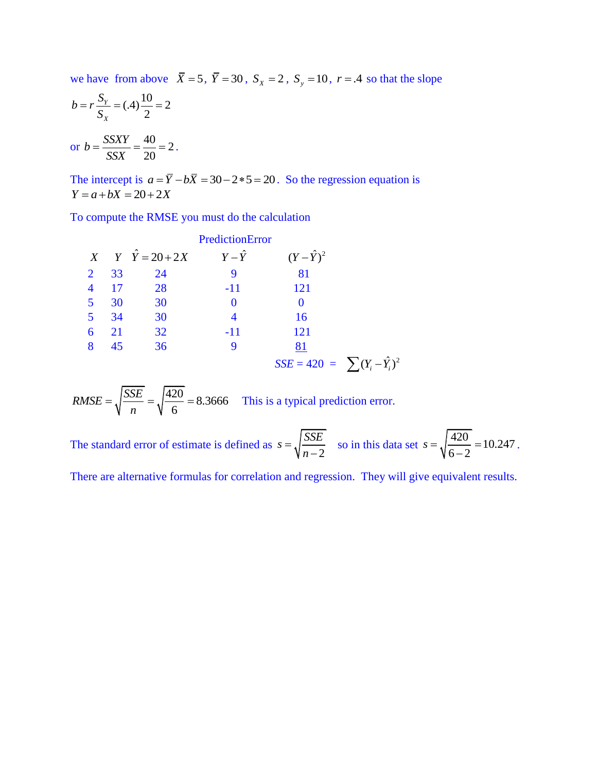we have from above  $\overline{X} = 5$ ,  $\overline{Y} = 30$ ,  $S_x = 2$ ,  $S_y = 10$ ,  $r = .4$  so that the slope

$$
b = r \frac{S_Y}{S_X} = (.4) \frac{10}{2} = 2
$$
  
or 
$$
b = \frac{SSXY}{SSX} = \frac{40}{20} = 2.
$$

The intercept is  $a = \overline{Y} - b\overline{X} = 30 - 2 \cdot 5 = 20$ . So the regression equation is  $Y = a + bX = 20 + 2X$ 

To compute the RMSE you must do the calculation

|   |    |                             | PredictionError |                                        |  |
|---|----|-----------------------------|-----------------|----------------------------------------|--|
|   |    | $X$ $Y$ $\hat{Y} = 20 + 2X$ | $Y-\hat{Y}$     | $(Y-\hat{Y})^2$                        |  |
| 2 | 33 | 24                          | 9               | 81                                     |  |
|   | 17 | 28                          | $-11$           | 121                                    |  |
| 5 | 30 | 30                          |                 |                                        |  |
| 5 | 34 | 30                          |                 | 16                                     |  |
| 6 | 21 | 32                          | $-11$           | 121                                    |  |
| 8 | 45 | 36                          | 9               | 81                                     |  |
|   |    |                             |                 | $SSE = 420 = \sum (Y_i - \hat{Y}_i)^2$ |  |

 $\frac{420}{1}$  = 8.3666 6  $RMSE = \sqrt{\frac{SSE}{m}}$  $=\sqrt{\frac{SSE}{n}} = \sqrt{\frac{420}{6}} = 8.3666$  This is a typical prediction error.

The standard error of estimate is defined as 2  $s = \sqrt{\frac{SSE}{\epsilon}}$ *n*  $=$  $\overline{a}$ so in this data set  $s = \sqrt{\frac{420}{10}} = 10.247$  $\frac{1}{6-2}$  $s = \sqrt{\frac{420}{5.2}} = 10$  $\overline{a}$ .

There are alternative formulas for correlation and regression. They will give equivalent results.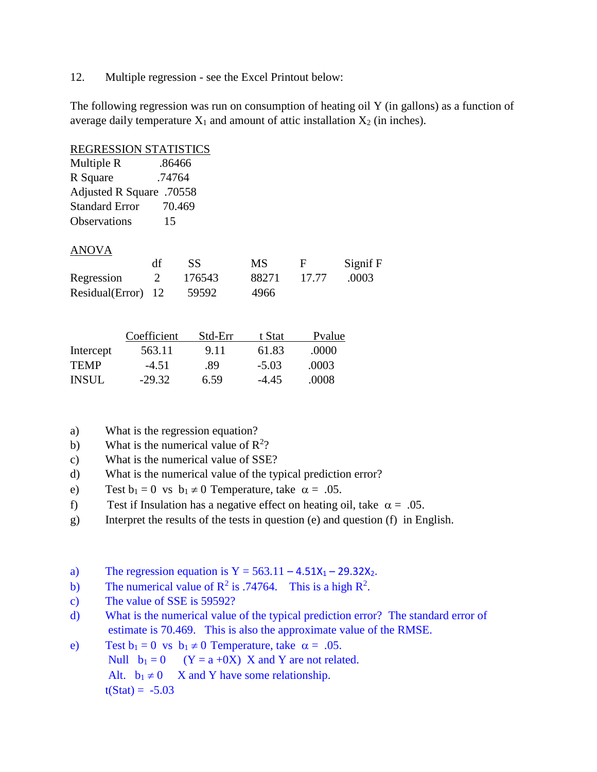12. Multiple regression - see the Excel Printout below:

The following regression was run on consumption of heating oil Y (in gallons) as a function of average daily temperature  $X_1$  and amount of attic installation  $X_2$  (in inches).

| <b>REGRESSION STATISTICS</b> |             |           |           |        |          |
|------------------------------|-------------|-----------|-----------|--------|----------|
| Multiple R                   | .86466      |           |           |        |          |
| R Square                     | .74764      |           |           |        |          |
| Adjusted R Square .70558     |             |           |           |        |          |
| <b>Standard Error</b>        |             | 70.469    |           |        |          |
| <b>Observations</b>          | 15          |           |           |        |          |
| <b>ANOVA</b>                 |             |           |           |        |          |
|                              | df          | <b>SS</b> | <b>MS</b> | F      | Signif F |
| Regression                   | 2           | 176543    | 88271     | 17.77  | .0003    |
| Residual(Error)              | 12          | 59592     | 4966      |        |          |
|                              |             |           |           |        |          |
|                              | Coefficient | Std-Err   | t Stat    | Pvalue |          |
| Intercept                    | 563.11      | 9.11      | 61.83     | .0000  |          |

| <b>INSUL</b> | $-29.32$ | 6.59 | $-4.45$ | .0008 |
|--------------|----------|------|---------|-------|
|              |          |      |         |       |
|              |          |      |         |       |

TEMP -4.51 .89 -5.03 .0003

- a) What is the regression equation?
- b) What is the numerical value of  $\mathbb{R}^2$ ?
- c) What is the numerical value of SSE?
- d) What is the numerical value of the typical prediction error?
- e) Test  $b_1 = 0$  vs  $b_1 \neq 0$  Temperature, take  $\alpha = .05$ .
- f) Test if Insulation has a negative effect on heating oil, take  $\alpha = .05$ .
- g) Interpret the results of the tests in question (e) and question (f) in English.
- a) The regression equation is  $Y = 563.11 4.51X_1 29.32X_2$ .
- b) The numerical value of  $R^2$  is .74764. This is a high  $R^2$ .
- c) The value of SSE is 59592?
- d) What is the numerical value of the typical prediction error? The standard error of estimate is 70.469. This is also the approximate value of the RMSE.
- e) Test  $b_1 = 0$  vs  $b_1 \neq 0$  Temperature, take  $\alpha = .05$ . Null  $b_1 = 0$  (Y = a +0X) X and Y are not related. Alt.  $b_1 \neq 0$  X and Y have some relationship.  $t(Stat) = -5.03$